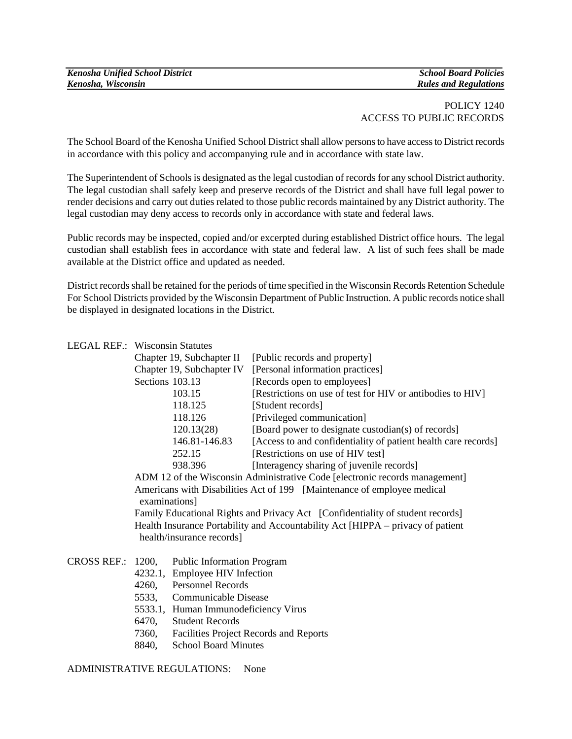# POLICY 1240 ACCESS TO PUBLIC RECORDS

The School Board of the Kenosha Unified School District shall allow persons to have access to District records in accordance with this policy and accompanying rule and in accordance with state law.

The Superintendent of Schools is designated as the legal custodian of records for any school District authority. The legal custodian shall safely keep and preserve records of the District and shall have full legal power to render decisions and carry out duties related to those public records maintained by any District authority. The legal custodian may deny access to records only in accordance with state and federal laws.

Public records may be inspected, copied and/or excerpted during established District office hours. The legal custodian shall establish fees in accordance with state and federal law. A list of such fees shall be made available at the District office and updated as needed.

District records shall be retained for the periods of time specified in the Wisconsin Records Retention Schedule For School Districts provided by the Wisconsin Department of Public Instruction. A public records notice shall be displayed in designated locations in the District.

#### LEGAL REF.: Wisconsin Statutes

| Chapter 19, Subchapter II | [Public records and property]                                  |
|---------------------------|----------------------------------------------------------------|
| Chapter 19, Subchapter IV | [Personal information practices]                               |
| Sections 103.13           | [Records open to employees]                                    |
| 103.15                    | [Restrictions on use of test for HIV or antibodies to HIV]     |
| 118.125                   | [Student records]                                              |
| 118.126                   | [Privileged communication]                                     |
| 120.13(28)                | [Board power to designate custodian(s) of records]             |
| 146.81-146.83             | [Access to and confidentiality of patient health care records] |
| 252.15                    | [Restrictions on use of HIV test]                              |
| 938.396                   | [Interagency sharing of juvenile records]                      |

ADM 12 of the Wisconsin Administrative Code [electronic records management] Americans with Disabilities Act of 199 [Maintenance of employee medical examinations]

Family Educational Rights and Privacy Act [Confidentiality of student records] Health Insurance Portability and Accountability Act [HIPPA – privacy of patient health/insurance records]

#### CROSS REF.: 1200, Public Information Program

- 4232.1, Employee HIV Infection
- 4260, Personnel Records
- 5533, Communicable Disease
- 5533.1, Human Immunodeficiency Virus
- 6470, Student Records
- 7360, Facilities Project Records and Reports
- 8840, School Board Minutes

ADMINISTRATIVE REGULATIONS: None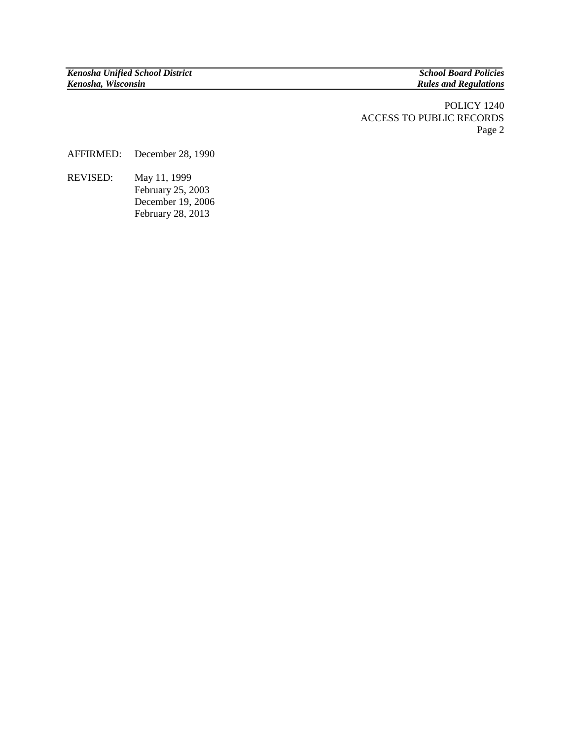**Rules and Regulations** 

POLICY 1240 ACCESS TO PUBLIC RECORDS Page 2

AFFIRMED: December 28, 1990

REVISED: May 11, 1999 February 25, 2003 December 19, 2006 February 28, 2013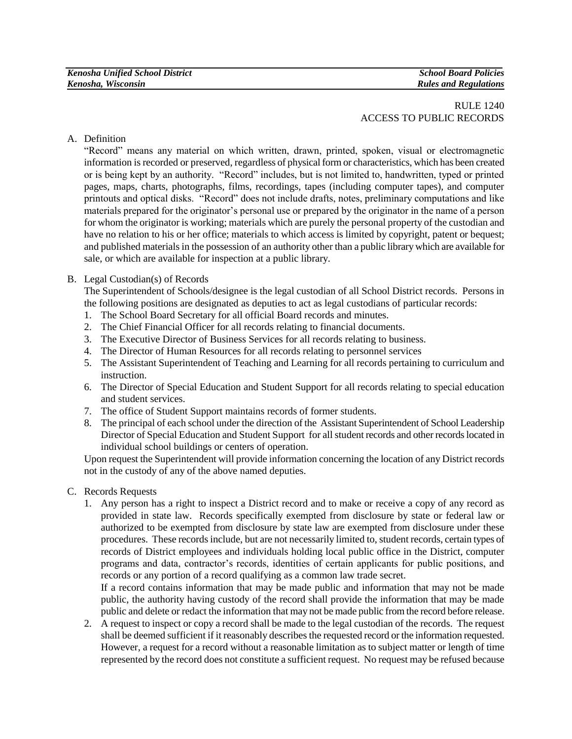# RULE 1240 ACCESS TO PUBLIC RECORDS

A. Definition

"Record" means any material on which written, drawn, printed, spoken, visual or electromagnetic information is recorded or preserved, regardless of physical form or characteristics, which has been created or is being kept by an authority. "Record" includes, but is not limited to, handwritten, typed or printed pages, maps, charts, photographs, films, recordings, tapes (including computer tapes), and computer printouts and optical disks. "Record" does not include drafts, notes, preliminary computations and like materials prepared for the originator's personal use or prepared by the originator in the name of a person for whom the originator is working; materials which are purely the personal property of the custodian and have no relation to his or her office; materials to which access is limited by copyright, patent or bequest; and published materials in the possession of an authority other than a public library which are available for sale, or which are available for inspection at a public library.

## B. Legal Custodian(s) of Records

The Superintendent of Schools/designee is the legal custodian of all School District records. Persons in the following positions are designated as deputies to act as legal custodians of particular records:

- 1. The School Board Secretary for all official Board records and minutes.
- 2. The Chief Financial Officer for all records relating to financial documents.
- 3. The Executive Director of Business Services for all records relating to business.
- 4. The Director of Human Resources for all records relating to personnel services
- 5. The Assistant Superintendent of Teaching and Learning for all records pertaining to curriculum and instruction.
- 6. The Director of Special Education and Student Support for all records relating to special education and student services.
- 7. The office of Student Support maintains records of former students.
- 8. The principal of each school under the direction of the Assistant Superintendent of School Leadership Director of Special Education and Student Support for all student records and other records located in individual school buildings or centers of operation.

Upon request the Superintendent will provide information concerning the location of any District records not in the custody of any of the above named deputies.

- C. Records Requests
	- 1. Any person has a right to inspect a District record and to make or receive a copy of any record as provided in state law. Records specifically exempted from disclosure by state or federal law or authorized to be exempted from disclosure by state law are exempted from disclosure under these procedures. These records include, but are not necessarily limited to, student records, certain types of records of District employees and individuals holding local public office in the District, computer programs and data, contractor's records, identities of certain applicants for public positions, and records or any portion of a record qualifying as a common law trade secret.

If a record contains information that may be made public and information that may not be made public, the authority having custody of the record shall provide the information that may be made public and delete or redact the information that may not be made public from the record before release.

2. A request to inspect or copy a record shall be made to the legal custodian of the records. The request shall be deemed sufficient if it reasonably describes the requested record or the information requested. However, a request for a record without a reasonable limitation as to subject matter or length of time represented by the record does not constitute a sufficient request. No request may be refused because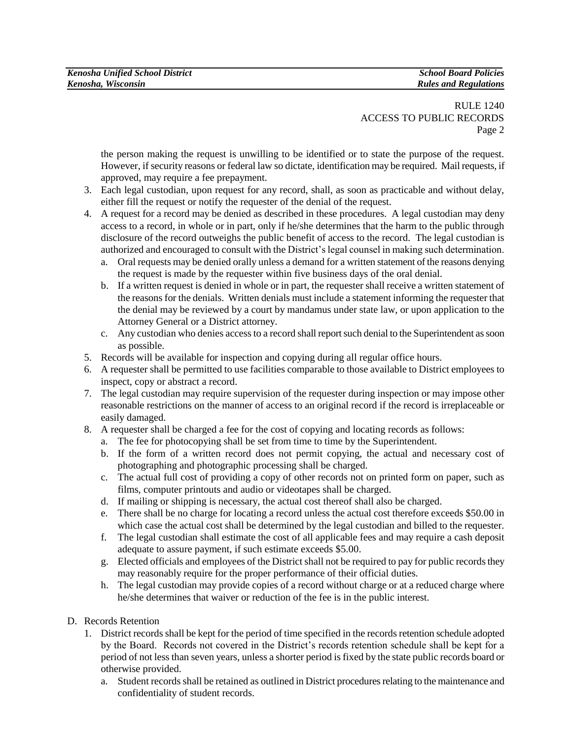## RULE 1240 ACCESS TO PUBLIC RECORDS Page 2

the person making the request is unwilling to be identified or to state the purpose of the request. However, if security reasons or federal law so dictate, identification may be required. Mail requests, if approved, may require a fee prepayment.

- 3. Each legal custodian, upon request for any record, shall, as soon as practicable and without delay, either fill the request or notify the requester of the denial of the request.
- 4. A request for a record may be denied as described in these procedures. A legal custodian may deny access to a record, in whole or in part, only if he/she determines that the harm to the public through disclosure of the record outweighs the public benefit of access to the record. The legal custodian is authorized and encouraged to consult with the District's legal counsel in making such determination.
	- a. Oral requests may be denied orally unless a demand for a written statement of the reasons denying the request is made by the requester within five business days of the oral denial.
	- b. If a written request is denied in whole or in part, the requester shall receive a written statement of the reasons for the denials. Written denials must include a statement informing the requester that the denial may be reviewed by a court by mandamus under state law, or upon application to the Attorney General or a District attorney.
	- c. Any custodian who denies access to a record shall report such denial to the Superintendent as soon as possible.
- 5. Records will be available for inspection and copying during all regular office hours.
- 6. A requester shall be permitted to use facilities comparable to those available to District employees to inspect, copy or abstract a record.
- 7. The legal custodian may require supervision of the requester during inspection or may impose other reasonable restrictions on the manner of access to an original record if the record is irreplaceable or easily damaged.
- 8. A requester shall be charged a fee for the cost of copying and locating records as follows:
	- a. The fee for photocopying shall be set from time to time by the Superintendent.
	- b. If the form of a written record does not permit copying, the actual and necessary cost of photographing and photographic processing shall be charged.
	- c. The actual full cost of providing a copy of other records not on printed form on paper, such as films, computer printouts and audio or videotapes shall be charged.
	- d. If mailing or shipping is necessary, the actual cost thereof shall also be charged.
	- e. There shall be no charge for locating a record unless the actual cost therefore exceeds \$50.00 in which case the actual cost shall be determined by the legal custodian and billed to the requester.
	- f. The legal custodian shall estimate the cost of all applicable fees and may require a cash deposit adequate to assure payment, if such estimate exceeds \$5.00.
	- g. Elected officials and employees of the District shall not be required to pay for public records they may reasonably require for the proper performance of their official duties.
	- h. The legal custodian may provide copies of a record without charge or at a reduced charge where he/she determines that waiver or reduction of the fee is in the public interest.
- D. Records Retention
	- 1. District records shall be kept for the period of time specified in the records retention schedule adopted by the Board. Records not covered in the District's records retention schedule shall be kept for a period of not less than seven years, unless a shorter period is fixed by the state public records board or otherwise provided.
		- a. Student records shall be retained as outlined in District procedures relating to the maintenance and confidentiality of student records.